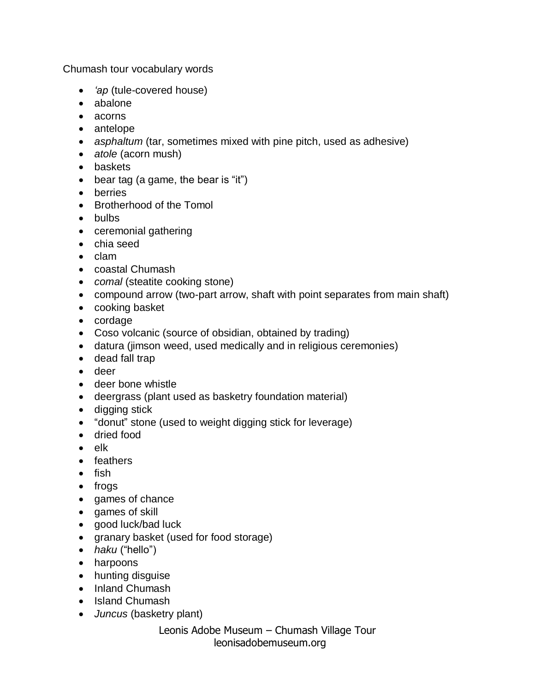Chumash tour vocabulary words

- *'ap* (tule-covered house)
- abalone
- acorns
- antelope
- *asphaltum* (tar, sometimes mixed with pine pitch, used as adhesive)
- *atole* (acorn mush)
- baskets
- bear tag (a game, the bear is "it")
- berries
- Brotherhood of the Tomol
- bulbs
- ceremonial gathering
- chia seed
- $\bullet$  clam
- coastal Chumash
- *comal* (steatite cooking stone)
- compound arrow (two-part arrow, shaft with point separates from main shaft)
- cooking basket
- cordage
- Coso volcanic (source of obsidian, obtained by trading)
- datura (jimson weed, used medically and in religious ceremonies)
- dead fall trap
- deer
- deer bone whistle
- deergrass (plant used as basketry foundation material)
- digging stick
- "donut" stone (used to weight digging stick for leverage)
- dried food
- elk
- feathers
- $\bullet$  fish
- frogs
- games of chance
- games of skill
- good luck/bad luck
- granary basket (used for food storage)
- haku ("hello")
- harpoons
- hunting disquise
- Inland Chumash
- Island Chumash
- *Juncus* (basketry plant)

Leonis Adobe Museum – Chumash Village Tour leonisadobemuseum.org